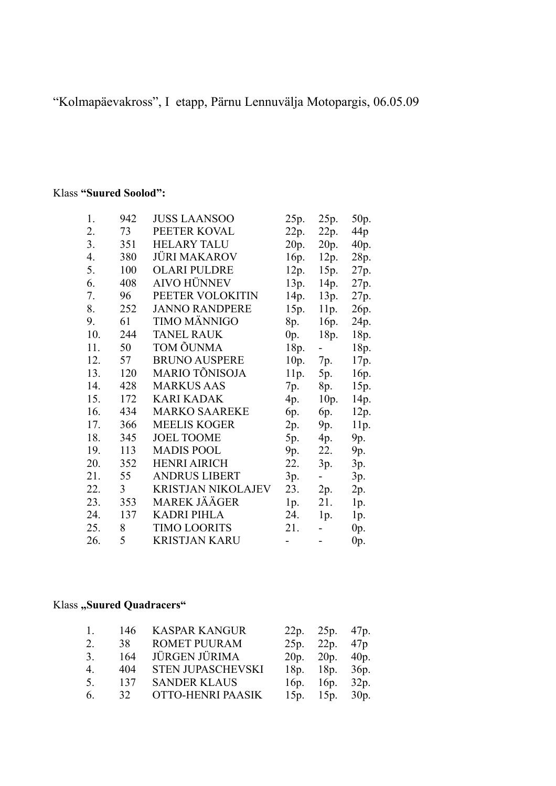"Kolmapäevakross", I etapp, Pärnu Lennuvälja Motopargis, 06.05.09

## Klass **"Suured Soolod":**

| 1.  | 942            | <b>JUSS LAANSOO</b>       | 25p. | 25p.           | 50p.   |
|-----|----------------|---------------------------|------|----------------|--------|
| 2.  | 73             | PEETER KOVAL              | 22p. | 22p.           | 44p    |
| 3.  | 351            | <b>HELARY TALU</b>        | 20p. | 20p.           | 40p.   |
| 4.  | 380            | <b>JÜRI MAKAROV</b>       | 16p. | 12p.           | 28p.   |
| 5.  | 100            | <b>OLARI PULDRE</b>       | 12p. | 15p.           | 27p.   |
| 6.  | 408            | <b>AIVO HÜNNEV</b>        | 13p. | 14p.           | 27p.   |
| 7.  | 96             | PEETER VOLOKITIN          | 14p. | 13p.           | 27p.   |
| 8.  | 252            | <b>JANNO RANDPERE</b>     | 15p. | 11p.           | 26p.   |
| 9.  | 61             | <b>TIMO MÄNNIGO</b>       | 8p.  | 16p.           | 24p.   |
| 10. | 244            | <b>TANEL RAUK</b>         | 0p.  | 18p.           | 18p.   |
| 11. | 50             | TOM ÕUNMA                 | 18p. | - 1            | 18p.   |
| 12. | 57             | <b>BRUNO AUSPERE</b>      | 10p. | 7p.            | 17p.   |
| 13. | 120            | <b>MARIO TÕNISOJA</b>     | 11p. | 5p.            | 16p.   |
| 14. | 428            | <b>MARKUS AAS</b>         | 7p.  | 8p.            | 15p.   |
| 15. | 172            | <b>KARI KADAK</b>         | 4p.  | 10p.           | 14p.   |
| 16. | 434            | <b>MARKO SAAREKE</b>      | 6р.  | 6p.            | 12p.   |
| 17. | 366            | <b>MEELIS KOGER</b>       | 2p.  | 9p.            | 11p.   |
| 18. | 345            | <b>JOEL TOOME</b>         | 5p.  | 4p.            | 9p.    |
| 19. | 113            | <b>MADIS POOL</b>         | 9p.  | 22.            | 9p.    |
| 20. | 352            | <b>HENRI AIRICH</b>       | 22.  | 3p.            | 3p.    |
| 21. | 55             | <b>ANDRUS LIBERT</b>      | 3p.  | $\blacksquare$ | 3p.    |
| 22. | 3 <sup>7</sup> | <b>KRISTJAN NIKOLAJEV</b> | 23.  | 2p.            | 2p.    |
| 23. | 353            | <b>MAREK JÄÄGER</b>       | 1p.  | 21.            | 1p.    |
| 24. | 137            | <b>KADRI PIHLA</b>        | 24.  | 1p.            | 1p.    |
| 25. | 8              | <b>TIMO LOORITS</b>       | 21.  |                | $0p$ . |
| 26. | 5              | <b>KRISTJAN KARU</b>      |      |                | 0p.    |

## Klass "Suured Quadracers"

| $\mathbf{1}$   | 146 | <b>KASPAR KANGUR</b>     | 22p. 25p. 47p.       |  |
|----------------|-----|--------------------------|----------------------|--|
| 2              | 38. | <b>ROMET PUURAM</b>      | 25p. 22p. 47p        |  |
| 3.             | 164 | JÜRGEN JÜRIMA            | 20p. 20p. 40p.       |  |
| 4.             | 404 | <b>STEN JUPASCHEVSKI</b> | 18p. 18p. 36p.       |  |
| 5 <sub>1</sub> | 137 | <b>SANDER KLAUS</b>      | 16p. 16p. 32p.       |  |
| 6              | 32  | OTTO-HENRI PAASIK        | $15p.$ $15p.$ $30p.$ |  |